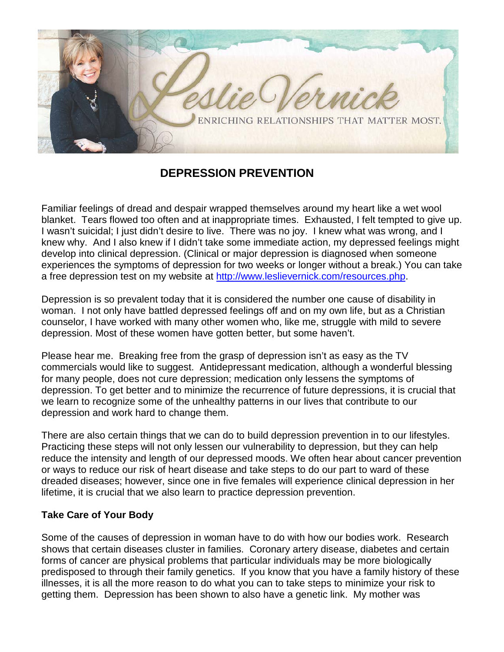

## **DEPRESSION PREVENTION**

Familiar feelings of dread and despair wrapped themselves around my heart like a wet wool blanket. Tears flowed too often and at inappropriate times. Exhausted, I felt tempted to give up. I wasn't suicidal; I just didn't desire to live. There was no joy. I knew what was wrong, and I knew why. And I also knew if I didn't take some immediate action, my depressed feelings might develop into clinical depression. (Clinical or major depression is diagnosed when someone experiences the symptoms of depression for two weeks or longer without a break.) You can take a free depression test on my website at [http://www.leslievernick.com/resources.php.](http://www.leslievernick.com/resources.php)

Depression is so prevalent today that it is considered the number one cause of disability in woman. I not only have battled depressed feelings off and on my own life, but as a Christian counselor, I have worked with many other women who, like me, struggle with mild to severe depression. Most of these women have gotten better, but some haven't.

Please hear me. Breaking free from the grasp of depression isn't as easy as the TV commercials would like to suggest. Antidepressant medication, although a wonderful blessing for many people, does not cure depression; medication only lessens the symptoms of depression. To get better and to minimize the recurrence of future depressions, it is crucial that we learn to recognize some of the unhealthy patterns in our lives that contribute to our depression and work hard to change them.

There are also certain things that we can do to build depression prevention in to our lifestyles. Practicing these steps will not only lessen our vulnerability to depression, but they can help reduce the intensity and length of our depressed moods. We often hear about cancer prevention or ways to reduce our risk of heart disease and take steps to do our part to ward of these dreaded diseases; however, since one in five females will experience clinical depression in her lifetime, it is crucial that we also learn to practice depression prevention.

## **Take Care of Your Body**

Some of the causes of depression in woman have to do with how our bodies work. Research shows that certain diseases cluster in families. Coronary artery disease, diabetes and certain forms of cancer are physical problems that particular individuals may be more biologically predisposed to through their family genetics. If you know that you have a family history of these illnesses, it is all the more reason to do what you can to take steps to minimize your risk to getting them. Depression has been shown to also have a genetic link. My mother was